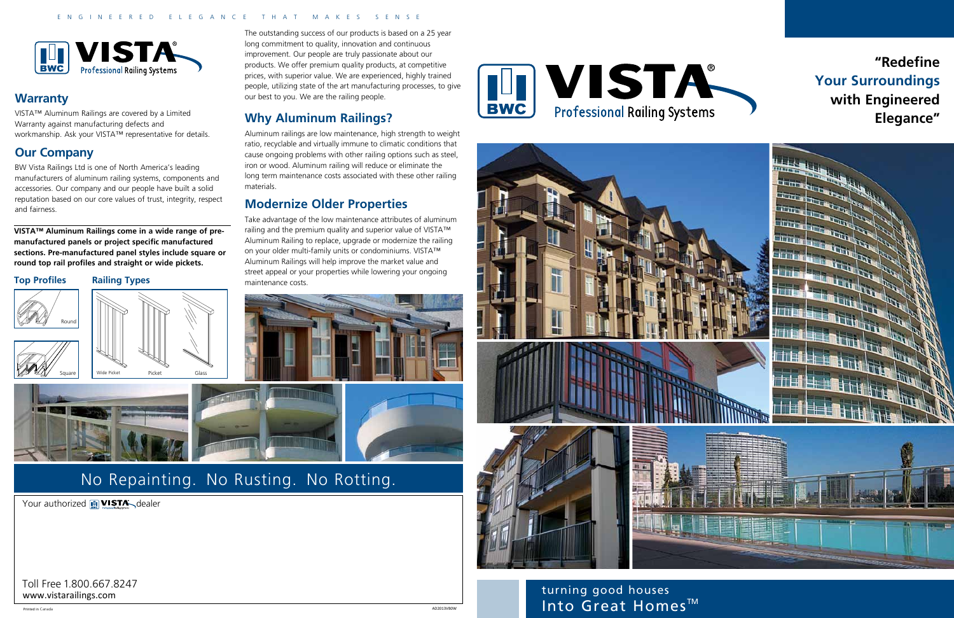Toll Free 1.800.667.8247

The outstanding success of our products is based on a 25 year long commitment to quality, innovation and continuous improvement. Our people are truly passionate about our products. We offer premium quality products, at competitive prices, with superior value. We are experienced, highly trained people, utilizing state of the art manufacturing processes, to give our best to you. We are the railing people.

## **Why Aluminum Railings?**

Aluminum railings are low maintenance, high strength to weight ratio, recyclable and virtually immune to climatic conditions that cause ongoing problems with other railing options such as steel, iron or wood. Aluminum railing will reduce or eliminate the long term maintenance costs associated with these other railing materials.

#### **Modernize Older Properties**

Take advantage of the low maintenance attributes of aluminum railing and the premium quality and superior value of VISTA™ Aluminum Railing to replace, upgrade or modernize the railing on your older multi-family units or condominiums. VISTA™ Aluminum Railings will help improve the market value and street appeal or your properties while lowering your ongoing maintenance costs.





turning good houses NET AD2013VBOW AND AD2013VBOW AND AD2013VBOW AND AD2013VBOW AND AD2013VBOW AND AD2013VBOW AND AD2013VBOW AND AD2013VBOW AND AD2013VBOW AND AD2013VBOW AND AD2013VBOW AND AD2013VBOW AND AD2013VBOW AND AD2013VBOW AND AD2013VB

# No Repainting. No Rusting. No Rotting.

Your authorized **III VISTA** dealer

#### ENGINEERED ELEGANCE THAT MAKES SENSE



#### **Top Profiles**









#### **Warranty**

VISTA™ Aluminum Railings are covered by a Limited Warranty against manufacturing defects and workmanship. Ask your VISTA™ representative for details.

## **Our Company**

BW Vista Railings Ltd is one of North America's leading manufacturers of aluminum railing systems, components and accessories. Our company and our people have built a solid reputation based on our core values of trust, integrity, respect and fairness.

**VISTA™ Aluminum Railings come in a wide range of premanufactured panels or project specific manufactured sections. Pre-manufactured panel styles include square or round top rail profiles and straight or wide pickets.**

## **"Redefine Your Surroundings with Engineered Elegance"**

Printed in Canada AD2013VB0W